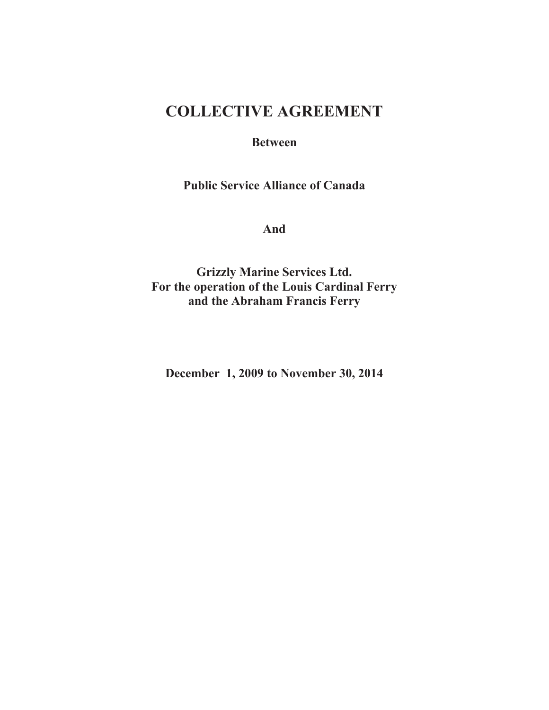# **COLLECTIVE AGREEMENT**

# **Between**

**Public Service Alliance of Canada**

**And**

**Grizzly Marine Services Ltd. For the operation of the Louis Cardinal Ferry and the Abraham Francis Ferry**

**December 1, 2009 to November 30, 2014**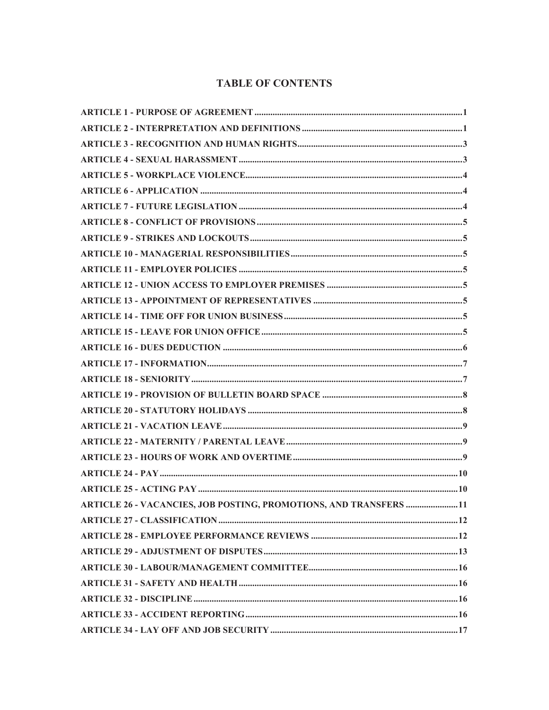# **TABLE OF CONTENTS**

| <b>ARTICLE 26 - VACANCIES, JOB POSTING, PROMOTIONS, AND TRANSFERS 11</b> |  |
|--------------------------------------------------------------------------|--|
|                                                                          |  |
|                                                                          |  |
|                                                                          |  |
|                                                                          |  |
|                                                                          |  |
|                                                                          |  |
|                                                                          |  |
|                                                                          |  |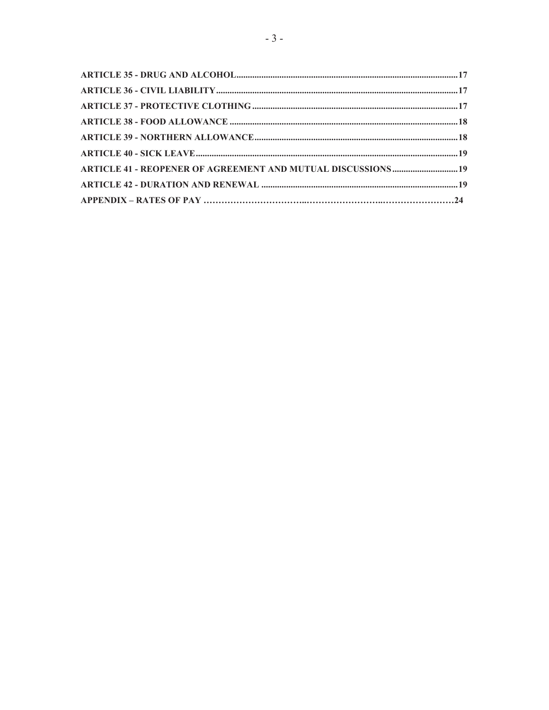| ARTICLE 41 - REOPENER OF AGREEMENT AND MUTUAL DISCUSSIONS  19 |  |
|---------------------------------------------------------------|--|
|                                                               |  |
|                                                               |  |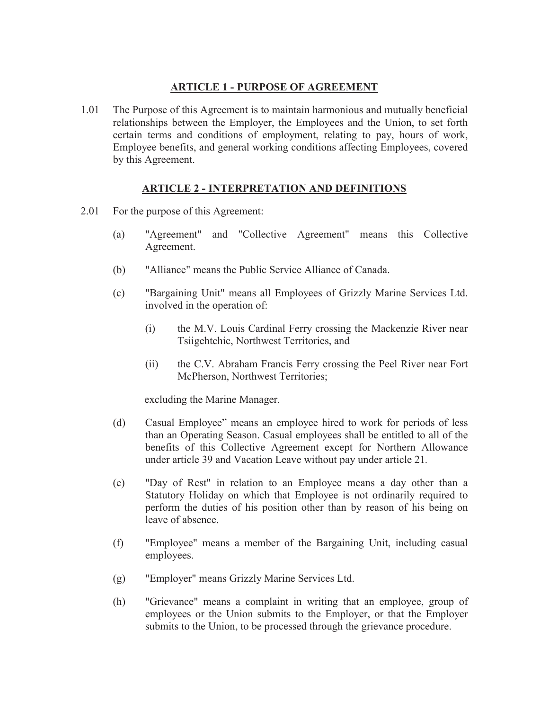# <span id="page-3-1"></span>**ARTICLE 1 - PURPOSE OF AGREEMENT**

<span id="page-3-0"></span>1.01 The Purpose of this Agreement is to maintain harmonious and mutually beneficial relationships between the Employer, the Employees and the Union, to set forth certain terms and conditions of employment, relating to pay, hours of work, Employee benefits, and general working conditions affecting Employees, covered by this Agreement.

# **ARTICLE 2 - INTERPRETATION AND DEFINITIONS**

- 2.01 For the purpose of this Agreement:
	- (a) "Agreement" and "Collective Agreement" means this Collective Agreement.
	- (b) "Alliance" means the Public Service Alliance of Canada.
	- (c) "Bargaining Unit" means all Employees of Grizzly Marine Services Ltd. involved in the operation of:
		- (i) the M.V. Louis Cardinal Ferry crossing the Mackenzie River near Tsiigehtchic, Northwest Territories, and
		- (ii) the C.V. Abraham Francis Ferry crossing the Peel River near Fort McPherson, Northwest Territories;

excluding the Marine Manager.

- (d) Casual Employee" means an employee hired to work for periods of less than an Operating Season. Casual employees shall be entitled to all of the benefits of this Collective Agreement except for Northern Allowance under article 39 and Vacation Leave without pay under article 21*.*
- (e) "Day of Rest" in relation to an Employee means a day other than a Statutory Holiday on which that Employee is not ordinarily required to perform the duties of his position other than by reason of his being on leave of absence.
- (f) "Employee" means a member of the Bargaining Unit, including casual employees.
- (g) "Employer" means Grizzly Marine Services Ltd.
- (h) "Grievance" means a complaint in writing that an employee, group of employees or the Union submits to the Employer, or that the Employer submits to the Union, to be processed through the grievance procedure.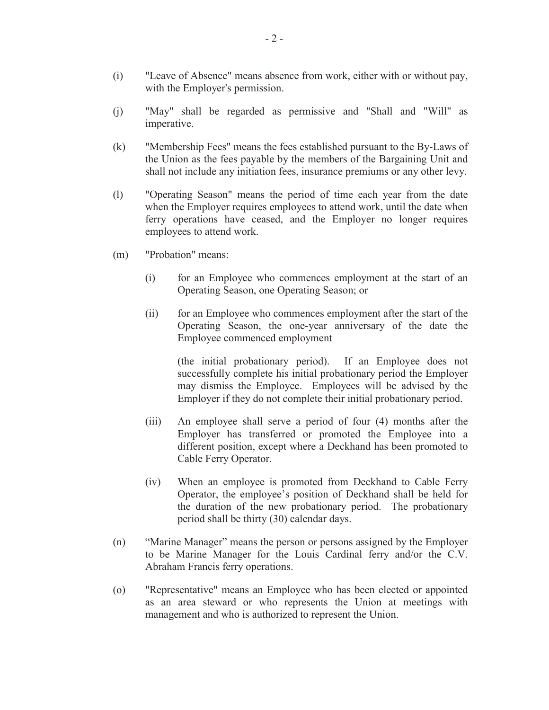- (i) "Leave of Absence" means absence from work, either with or without pay, with the Employer's permission.
- (j) "May" shall be regarded as permissive and "Shall and "Will" as imperative.
- (k) "Membership Fees" means the fees established pursuant to the By-Laws of the Union as the fees payable by the members of the Bargaining Unit and shall not include any initiation fees, insurance premiums or any other levy.
- (l) "Operating Season" means the period of time each year from the date when the Employer requires employees to attend work, until the date when ferry operations have ceased, and the Employer no longer requires employees to attend work.
- (m) "Probation" means:
	- (i) for an Employee who commences employment at the start of an Operating Season, one Operating Season; or
	- (ii) for an Employee who commences employment after the start of the Operating Season, the one-year anniversary of the date the Employee commenced employment

(the initial probationary period). If an Employee does not successfully complete his initial probationary period the Employer may dismiss the Employee. Employees will be advised by the Employer if they do not complete their initial probationary period.

- (iii) An employee shall serve a period of four (4) months after the Employer has transferred or promoted the Employee into a different position, except where a Deckhand has been promoted to Cable Ferry Operator.
- (iv) When an employee is promoted from Deckhand to Cable Ferry Operator, the employee's position of Deckhand shall be held for the duration of the new probationary period. The probationary period shall be thirty (30) calendar days.
- (n) "Marine Manager" means the person or persons assigned by the Employer to be Marine Manager for the Louis Cardinal ferry and/or the C.V. Abraham Francis ferry operations.
- (o) "Representative" means an Employee who has been elected or appointed as an area steward or who represents the Union at meetings with management and who is authorized to represent the Union.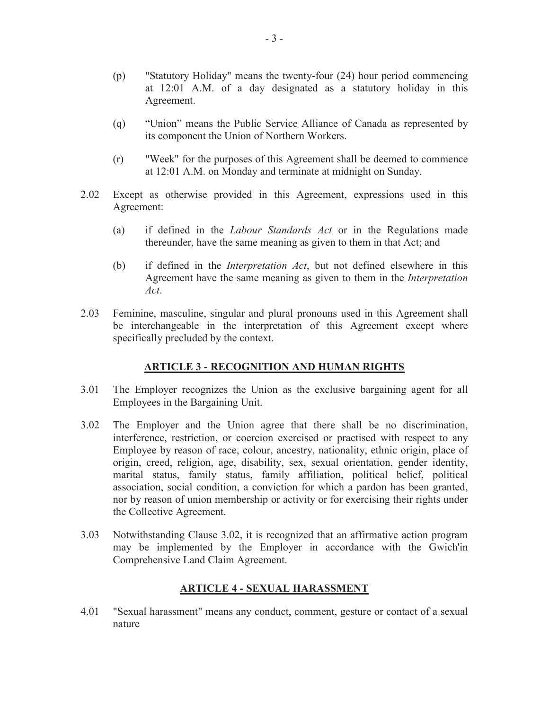- (p) "Statutory Holiday" means the twenty-four (24) hour period commencing at 12:01 A.M. of a day designated as a statutory holiday in this Agreement.
- (q) "Union" means the Public Service Alliance of Canada as represented by its component the Union of Northern Workers.
- (r) "Week" for the purposes of this Agreement shall be deemed to commence at 12:01 A.M. on Monday and terminate at midnight on Sunday.
- 2.02 Except as otherwise provided in this Agreement, expressions used in this Agreement:
	- (a) if defined in the *Labour Standards Act* or in the Regulations made thereunder, have the same meaning as given to them in that Act; and
	- (b) if defined in the *Interpretation Act*, but not defined elsewhere in this Agreement have the same meaning as given to them in the *Interpretation Act*.
- 2.03 Feminine, masculine, singular and plural pronouns used in this Agreement shall be interchangeable in the interpretation of this Agreement except where specifically precluded by the context.

#### <span id="page-5-0"></span>**ARTICLE 3 - RECOGNITION AND HUMAN RIGHTS**

- 3.01 The Employer recognizes the Union as the exclusive bargaining agent for all Employees in the Bargaining Unit.
- 3.02 The Employer and the Union agree that there shall be no discrimination, interference, restriction, or coercion exercised or practised with respect to any Employee by reason of race, colour, ancestry, nationality, ethnic origin, place of origin, creed, religion, age, disability, sex, sexual orientation, gender identity, marital status, family status, family affiliation, political belief, political association, social condition, a conviction for which a pardon has been granted, nor by reason of union membership or activity or for exercising their rights under the Collective Agreement.
- 3.03 Notwithstanding Clause 3.02, it is recognized that an affirmative action program may be implemented by the Employer in accordance with the Gwich'in Comprehensive Land Claim Agreement.

# <span id="page-5-1"></span>**ARTICLE 4 - SEXUAL HARASSMENT**

4.01 "Sexual harassment" means any conduct, comment, gesture or contact of a sexual nature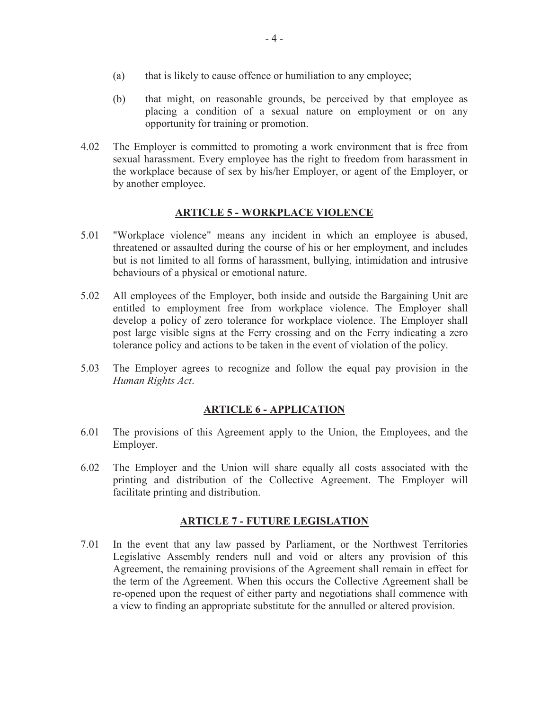- (a) that is likely to cause offence or humiliation to any employee;
- (b) that might, on reasonable grounds, be perceived by that employee as placing a condition of a sexual nature on employment or on any opportunity for training or promotion.
- 4.02 The Employer is committed to promoting a work environment that is free from sexual harassment. Every employee has the right to freedom from harassment in the workplace because of sex by his/her Employer, or agent of the Employer, or by another employee.

# <span id="page-6-0"></span>**ARTICLE 5 - WORKPLACE VIOLENCE**

- 5.01 "Workplace violence" means any incident in which an employee is abused, threatened or assaulted during the course of his or her employment, and includes but is not limited to all forms of harassment, bullying, intimidation and intrusive behaviours of a physical or emotional nature.
- 5.02 All employees of the Employer, both inside and outside the Bargaining Unit are entitled to employment free from workplace violence. The Employer shall develop a policy of zero tolerance for workplace violence. The Employer shall post large visible signs at the Ferry crossing and on the Ferry indicating a zero tolerance policy and actions to be taken in the event of violation of the policy.
- 5.03 The Employer agrees to recognize and follow the equal pay provision in the *Human Rights Act*.

# <span id="page-6-2"></span><span id="page-6-1"></span>**ARTICLE 6 - APPLICATION**

- 6.01 The provisions of this Agreement apply to the Union, the Employees, and the Employer.
- 6.02 The Employer and the Union will share equally all costs associated with the printing and distribution of the Collective Agreement. The Employer will facilitate printing and distribution.

# **ARTICLE 7 - FUTURE LEGISLATION**

7.01 In the event that any law passed by Parliament, or the Northwest Territories Legislative Assembly renders null and void or alters any provision of this Agreement, the remaining provisions of the Agreement shall remain in effect for the term of the Agreement. When this occurs the Collective Agreement shall be re-opened upon the request of either party and negotiations shall commence with a view to finding an appropriate substitute for the annulled or altered provision.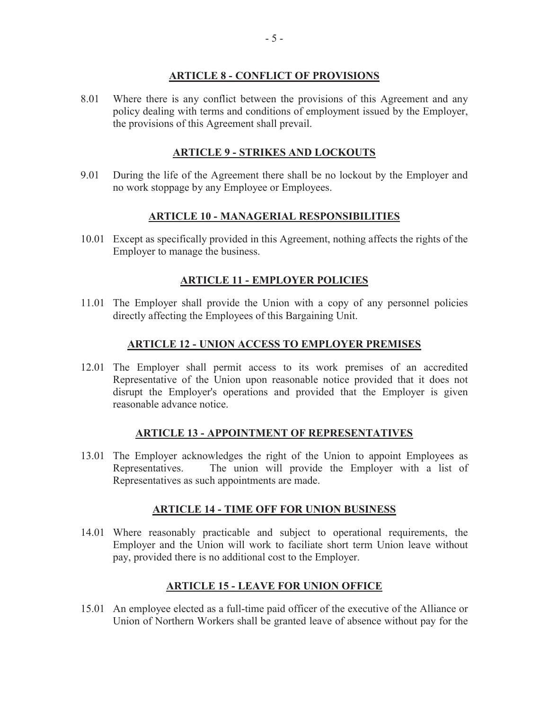# <span id="page-7-0"></span>**ARTICLE 8 - CONFLICT OF PROVISIONS**

8.01 Where there is any conflict between the provisions of this Agreement and any policy dealing with terms and conditions of employment issued by the Employer, the provisions of this Agreement shall prevail.

# <span id="page-7-1"></span>**ARTICLE 9 - STRIKES AND LOCKOUTS**

9.01 During the life of the Agreement there shall be no lockout by the Employer and no work stoppage by any Employee or Employees.

# **ARTICLE 10 - MANAGERIAL RESPONSIBILITIES**

10.01 Except as specifically provided in this Agreement, nothing affects the rights of the Employer to manage the business.

# <span id="page-7-4"></span><span id="page-7-3"></span><span id="page-7-2"></span>**ARTICLE 11 - EMPLOYER POLICIES**

11.01 The Employer shall provide the Union with a copy of any personnel policies directly affecting the Employees of this Bargaining Unit.

# **ARTICLE 12 - UNION ACCESS TO EMPLOYER PREMISES**

12.01 The Employer shall permit access to its work premises of an accredited Representative of the Union upon reasonable notice provided that it does not disrupt the Employer's operations and provided that the Employer is given reasonable advance notice.

#### **ARTICLE 13 - APPOINTMENT OF REPRESENTATIVES**

13.01 The Employer acknowledges the right of the Union to appoint Employees as Representatives. The union will provide the Employer with a list of Representatives as such appointments are made.

#### <span id="page-7-5"></span>**ARTICLE 14 - TIME OFF FOR UNION BUSINESS**

14.01 Where reasonably practicable and subject to operational requirements, the Employer and the Union will work to faciliate short term Union leave without pay, provided there is no additional cost to the Employer.

# <span id="page-7-7"></span><span id="page-7-6"></span>**ARTICLE 15 - LEAVE FOR UNION OFFICE**

15.01 An employee elected as a full-time paid officer of the executive of the Alliance or Union of Northern Workers shall be granted leave of absence without pay for the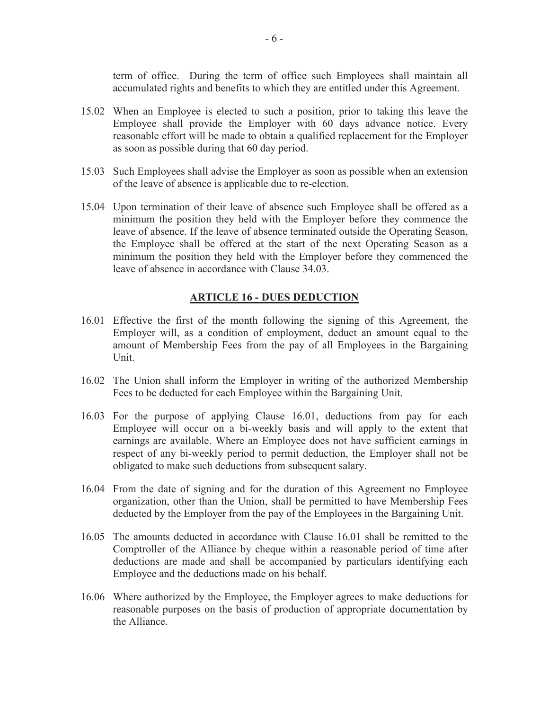term of office. During the term of office such Employees shall maintain all accumulated rights and benefits to which they are entitled under this Agreement.

- 15.02 When an Employee is elected to such a position, prior to taking this leave the Employee shall provide the Employer with 60 days advance notice. Every reasonable effort will be made to obtain a qualified replacement for the Employer as soon as possible during that 60 day period.
- 15.03 Such Employees shall advise the Employer as soon as possible when an extension of the leave of absence is applicable due to re-election.
- 15.04 Upon termination of their leave of absence such Employee shall be offered as a minimum the position they held with the Employer before they commence the leave of absence. If the leave of absence terminated outside the Operating Season, the Employee shall be offered at the start of the next Operating Season as a minimum the position they held with the Employer before they commenced the leave of absence in accordance with Clause 34.03.

#### <span id="page-8-0"></span>**ARTICLE 16 - DUES DEDUCTION**

- 16.01 Effective the first of the month following the signing of this Agreement, the Employer will, as a condition of employment, deduct an amount equal to the amount of Membership Fees from the pay of all Employees in the Bargaining Unit.
- 16.02 The Union shall inform the Employer in writing of the authorized Membership Fees to be deducted for each Employee within the Bargaining Unit.
- 16.03 For the purpose of applying Clause 16.01, deductions from pay for each Employee will occur on a bi-weekly basis and will apply to the extent that earnings are available. Where an Employee does not have sufficient earnings in respect of any bi-weekly period to permit deduction, the Employer shall not be obligated to make such deductions from subsequent salary.
- 16.04 From the date of signing and for the duration of this Agreement no Employee organization, other than the Union, shall be permitted to have Membership Fees deducted by the Employer from the pay of the Employees in the Bargaining Unit.
- 16.05 The amounts deducted in accordance with Clause 16.01 shall be remitted to the Comptroller of the Alliance by cheque within a reasonable period of time after deductions are made and shall be accompanied by particulars identifying each Employee and the deductions made on his behalf.
- 16.06 Where authorized by the Employee, the Employer agrees to make deductions for reasonable purposes on the basis of production of appropriate documentation by the Alliance.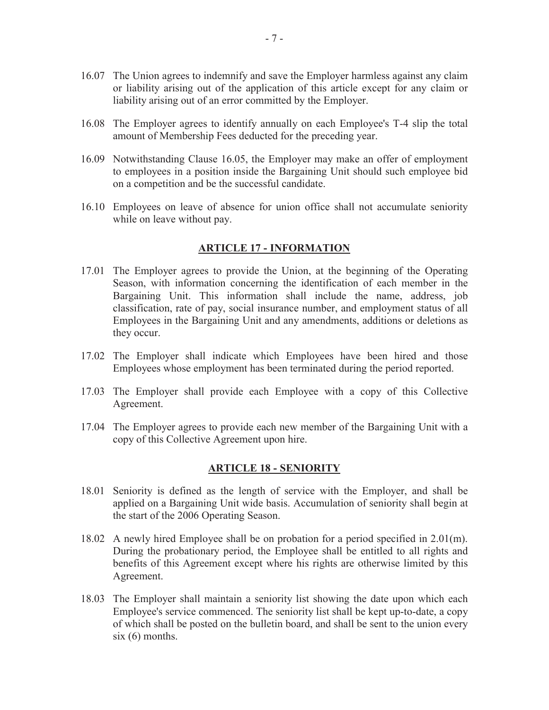- 16.07 The Union agrees to indemnify and save the Employer harmless against any claim or liability arising out of the application of this article except for any claim or liability arising out of an error committed by the Employer.
- 16.08 The Employer agrees to identify annually on each Employee's T-4 slip the total amount of Membership Fees deducted for the preceding year.
- 16.09 Notwithstanding Clause 16.05, the Employer may make an offer of employment to employees in a position inside the Bargaining Unit should such employee bid on a competition and be the successful candidate.
- 16.10 Employees on leave of absence for union office shall not accumulate seniority while on leave without pay.

#### <span id="page-9-0"></span>**ARTICLE 17 - INFORMATION**

- 17.01 The Employer agrees to provide the Union, at the beginning of the Operating Season, with information concerning the identification of each member in the Bargaining Unit. This information shall include the name, address, job classification, rate of pay, social insurance number, and employment status of all Employees in the Bargaining Unit and any amendments, additions or deletions as they occur.
- 17.02 The Employer shall indicate which Employees have been hired and those Employees whose employment has been terminated during the period reported.
- 17.03 The Employer shall provide each Employee with a copy of this Collective Agreement.
- 17.04 The Employer agrees to provide each new member of the Bargaining Unit with a copy of this Collective Agreement upon hire.

#### <span id="page-9-1"></span>**ARTICLE 18 - SENIORITY**

- 18.01 Seniority is defined as the length of service with the Employer, and shall be applied on a Bargaining Unit wide basis. Accumulation of seniority shall begin at the start of the 2006 Operating Season.
- 18.02 A newly hired Employee shall be on probation for a period specified in 2.01(m). During the probationary period, the Employee shall be entitled to all rights and benefits of this Agreement except where his rights are otherwise limited by this Agreement.
- 18.03 The Employer shall maintain a seniority list showing the date upon which each Employee's service commenced. The seniority list shall be kept up-to-date, a copy of which shall be posted on the bulletin board, and shall be sent to the union every  $six(6)$  months.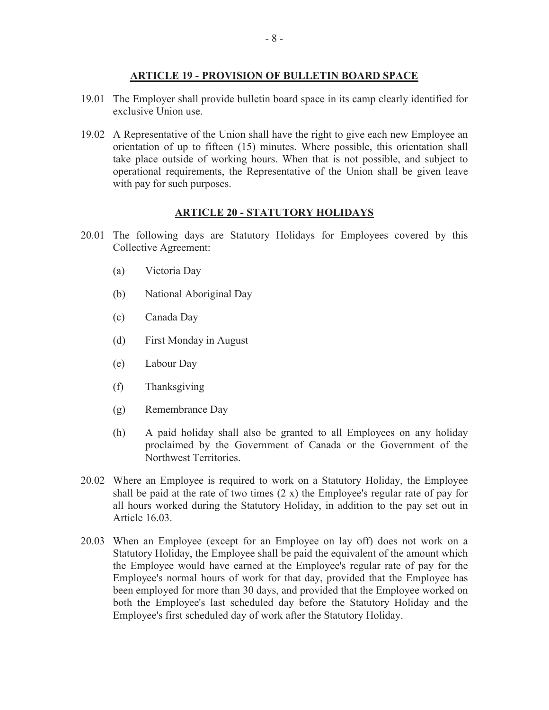# **ARTICLE 19 - PROVISION OF BULLETIN BOARD SPACE**

- 19.01 The Employer shall provide bulletin board space in its camp clearly identified for exclusive Union use.
- 19.02 A Representative of the Union shall have the right to give each new Employee an orientation of up to fifteen (15) minutes. Where possible, this orientation shall take place outside of working hours. When that is not possible, and subject to operational requirements, the Representative of the Union shall be given leave with pay for such purposes.

# <span id="page-10-1"></span><span id="page-10-0"></span>**ARTICLE 20 - STATUTORY HOLIDAYS**

- 20.01 The following days are Statutory Holidays for Employees covered by this Collective Agreement:
	- (a) Victoria Day
	- (b) National Aboriginal Day
	- (c) Canada Day
	- (d) First Monday in August
	- (e) Labour Day
	- (f) Thanksgiving
	- (g) Remembrance Day
	- (h) A paid holiday shall also be granted to all Employees on any holiday proclaimed by the Government of Canada or the Government of the Northwest Territories.
- 20.02 Where an Employee is required to work on a Statutory Holiday, the Employee shall be paid at the rate of two times  $(2 x)$  the Employee's regular rate of pay for all hours worked during the Statutory Holiday, in addition to the pay set out in Article 16.03.
- 20.03 When an Employee (except for an Employee on lay off) does not work on a Statutory Holiday, the Employee shall be paid the equivalent of the amount which the Employee would have earned at the Employee's regular rate of pay for the Employee's normal hours of work for that day, provided that the Employee has been employed for more than 30 days, and provided that the Employee worked on both the Employee's last scheduled day before the Statutory Holiday and the Employee's first scheduled day of work after the Statutory Holiday.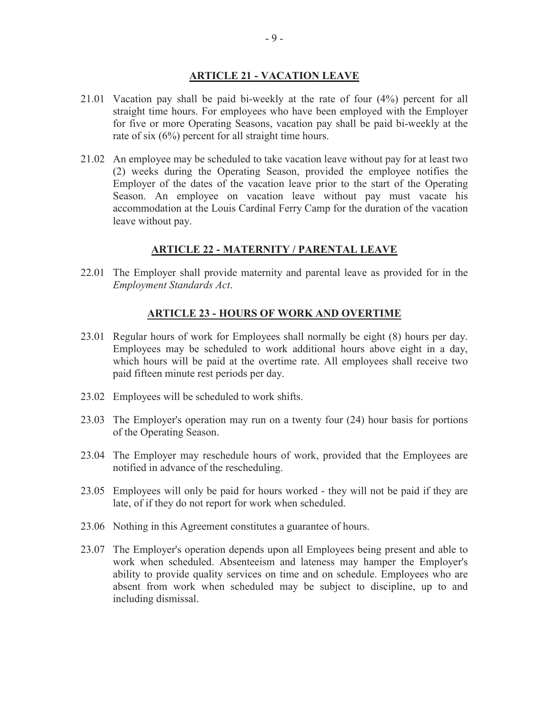#### <span id="page-11-0"></span>**ARTICLE 21 - VACATION LEAVE**

- 21.01 Vacation pay shall be paid bi-weekly at the rate of four (4%) percent for all straight time hours. For employees who have been employed with the Employer for five or more Operating Seasons, vacation pay shall be paid bi-weekly at the rate of six (6%) percent for all straight time hours.
- 21.02 An employee may be scheduled to take vacation leave without pay for at least two (2) weeks during the Operating Season, provided the employee notifies the Employer of the dates of the vacation leave prior to the start of the Operating Season. An employee on vacation leave without pay must vacate his accommodation at the Louis Cardinal Ferry Camp for the duration of the vacation leave without pay.

#### <span id="page-11-1"></span>**ARTICLE 22 - MATERNITY / PARENTAL LEAVE**

22.01 The Employer shall provide maternity and parental leave as provided for in the *Employment Standards Act*.

#### <span id="page-11-2"></span>**ARTICLE 23 - HOURS OF WORK AND OVERTIME**

- 23.01 Regular hours of work for Employees shall normally be eight (8) hours per day. Employees may be scheduled to work additional hours above eight in a day, which hours will be paid at the overtime rate. All employees shall receive two paid fifteen minute rest periods per day.
- 23.02 Employees will be scheduled to work shifts.
- 23.03 The Employer's operation may run on a twenty four (24) hour basis for portions of the Operating Season.
- 23.04 The Employer may reschedule hours of work, provided that the Employees are notified in advance of the rescheduling.
- 23.05 Employees will only be paid for hours worked they will not be paid if they are late, of if they do not report for work when scheduled.
- 23.06 Nothing in this Agreement constitutes a guarantee of hours.
- 23.07 The Employer's operation depends upon all Employees being present and able to work when scheduled. Absenteeism and lateness may hamper the Employer's ability to provide quality services on time and on schedule. Employees who are absent from work when scheduled may be subject to discipline, up to and including dismissal.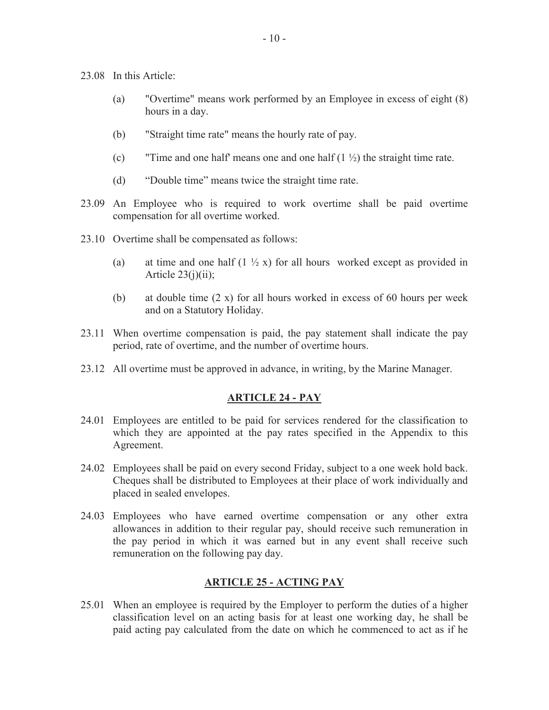- 23.08 In this Article:
	- (a) "Overtime" means work performed by an Employee in excess of eight (8) hours in a day.
	- (b) "Straight time rate" means the hourly rate of pay.
	- (c) "Time and one half' means one and one half  $(1 \frac{1}{2})$  the straight time rate.
	- (d) "Double time" means twice the straight time rate.
- 23.09 An Employee who is required to work overtime shall be paid overtime compensation for all overtime worked.
- 23.10 Overtime shall be compensated as follows:
	- (a) at time and one half  $(1 \frac{1}{2} x)$  for all hours worked except as provided in Article  $23(i)(ii)$ ;
	- (b) at double time (2 x) for all hours worked in excess of 60 hours per week and on a Statutory Holiday.
- 23.11 When overtime compensation is paid, the pay statement shall indicate the pay period, rate of overtime, and the number of overtime hours.
- 23.12 All overtime must be approved in advance, in writing, by the Marine Manager.

#### <span id="page-12-0"></span>**ARTICLE 24 - PAY**

- 24.01 Employees are entitled to be paid for services rendered for the classification to which they are appointed at the pay rates specified in the Appendix to this Agreement.
- 24.02 Employees shall be paid on every second Friday, subject to a one week hold back. Cheques shall be distributed to Employees at their place of work individually and placed in sealed envelopes.
- 24.03 Employees who have earned overtime compensation or any other extra allowances in addition to their regular pay, should receive such remuneration in the pay period in which it was earned but in any event shall receive such remuneration on the following pay day.

#### <span id="page-12-1"></span>**ARTICLE 25 - ACTING PAY**

25.01 When an employee is required by the Employer to perform the duties of a higher classification level on an acting basis for at least one working day, he shall be paid acting pay calculated from the date on which he commenced to act as if he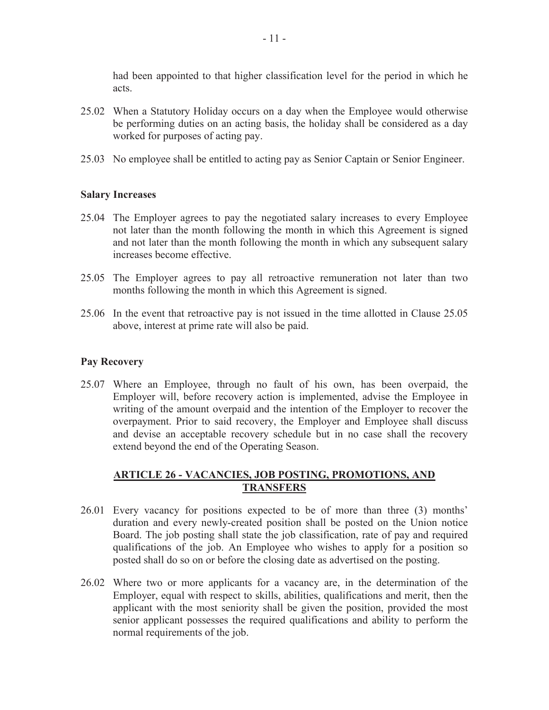had been appointed to that higher classification level for the period in which he acts.

- 25.02 When a Statutory Holiday occurs on a day when the Employee would otherwise be performing duties on an acting basis, the holiday shall be considered as a day worked for purposes of acting pay.
- 25.03 No employee shall be entitled to acting pay as Senior Captain or Senior Engineer.

#### **Salary Increases**

- 25.04 The Employer agrees to pay the negotiated salary increases to every Employee not later than the month following the month in which this Agreement is signed and not later than the month following the month in which any subsequent salary increases become effective.
- 25.05 The Employer agrees to pay all retroactive remuneration not later than two months following the month in which this Agreement is signed.
- 25.06 In the event that retroactive pay is not issued in the time allotted in Clause 25.05 above, interest at prime rate will also be paid.

#### **Pay Recovery**

25.07 Where an Employee, through no fault of his own, has been overpaid, the Employer will, before recovery action is implemented, advise the Employee in writing of the amount overpaid and the intention of the Employer to recover the overpayment. Prior to said recovery, the Employer and Employee shall discuss and devise an acceptable recovery schedule but in no case shall the recovery extend beyond the end of the Operating Season.

# <span id="page-13-0"></span>**ARTICLE 26 - VACANCIES, JOB POSTING, PROMOTIONS, AND TRANSFERS**

- 26.01 Every vacancy for positions expected to be of more than three (3) months' duration and every newly-created position shall be posted on the Union notice Board. The job posting shall state the job classification, rate of pay and required qualifications of the job. An Employee who wishes to apply for a position so posted shall do so on or before the closing date as advertised on the posting.
- 26.02 Where two or more applicants for a vacancy are, in the determination of the Employer, equal with respect to skills, abilities, qualifications and merit, then the applicant with the most seniority shall be given the position, provided the most senior applicant possesses the required qualifications and ability to perform the normal requirements of the job.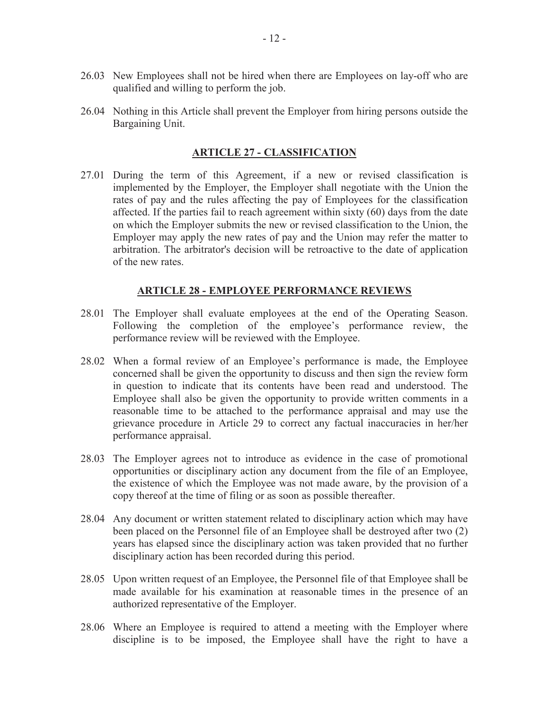- 26.03 New Employees shall not be hired when there are Employees on lay-off who are qualified and willing to perform the job.
- 26.04 Nothing in this Article shall prevent the Employer from hiring persons outside the Bargaining Unit.

#### <span id="page-14-1"></span><span id="page-14-0"></span>**ARTICLE 27 - CLASSIFICATION**

27.01 During the term of this Agreement, if a new or revised classification is implemented by the Employer, the Employer shall negotiate with the Union the rates of pay and the rules affecting the pay of Employees for the classification affected. If the parties fail to reach agreement within sixty (60) days from the date on which the Employer submits the new or revised classification to the Union, the Employer may apply the new rates of pay and the Union may refer the matter to arbitration. The arbitrator's decision will be retroactive to the date of application of the new rates.

#### **ARTICLE 28 - EMPLOYEE PERFORMANCE REVIEWS**

- 28.01 The Employer shall evaluate employees at the end of the Operating Season. Following the completion of the employee's performance review, the performance review will be reviewed with the Employee.
- 28.02 When a formal review of an Employee's performance is made, the Employee concerned shall be given the opportunity to discuss and then sign the review form in question to indicate that its contents have been read and understood. The Employee shall also be given the opportunity to provide written comments in a reasonable time to be attached to the performance appraisal and may use the grievance procedure in Article 29 to correct any factual inaccuracies in her/her performance appraisal.
- 28.03 The Employer agrees not to introduce as evidence in the case of promotional opportunities or disciplinary action any document from the file of an Employee, the existence of which the Employee was not made aware, by the provision of a copy thereof at the time of filing or as soon as possible thereafter.
- 28.04 Any document or written statement related to disciplinary action which may have been placed on the Personnel file of an Employee shall be destroyed after two (2) years has elapsed since the disciplinary action was taken provided that no further disciplinary action has been recorded during this period.
- 28.05 Upon written request of an Employee, the Personnel file of that Employee shall be made available for his examination at reasonable times in the presence of an authorized representative of the Employer.
- 28.06 Where an Employee is required to attend a meeting with the Employer where discipline is to be imposed, the Employee shall have the right to have a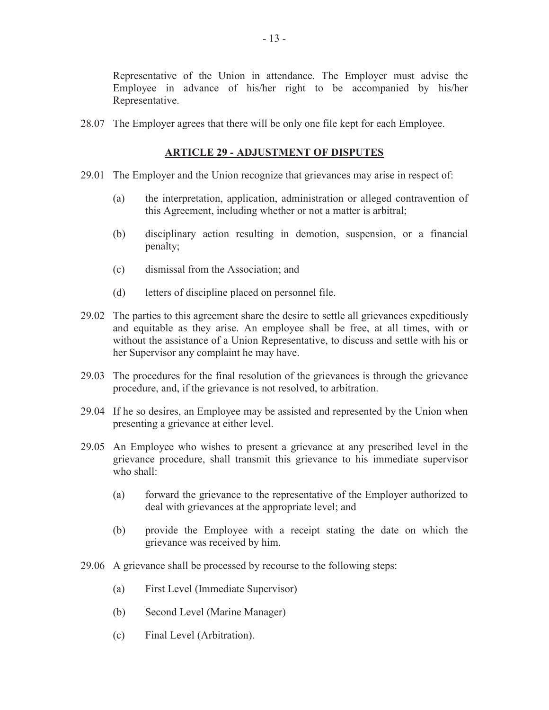Representative of the Union in attendance. The Employer must advise the Employee in advance of his/her right to be accompanied by his/her Representative.

28.07 The Employer agrees that there will be only one file kept for each Employee.

#### <span id="page-15-0"></span>**ARTICLE 29 - ADJUSTMENT OF DISPUTES**

- 29.01 The Employer and the Union recognize that grievances may arise in respect of:
	- (a) the interpretation, application, administration or alleged contravention of this Agreement, including whether or not a matter is arbitral;
	- (b) disciplinary action resulting in demotion, suspension, or a financial penalty;
	- (c) dismissal from the Association; and
	- (d) letters of discipline placed on personnel file.
- 29.02 The parties to this agreement share the desire to settle all grievances expeditiously and equitable as they arise. An employee shall be free, at all times, with or without the assistance of a Union Representative, to discuss and settle with his or her Supervisor any complaint he may have.
- 29.03 The procedures for the final resolution of the grievances is through the grievance procedure, and, if the grievance is not resolved, to arbitration.
- 29.04 If he so desires, an Employee may be assisted and represented by the Union when presenting a grievance at either level.
- 29.05 An Employee who wishes to present a grievance at any prescribed level in the grievance procedure, shall transmit this grievance to his immediate supervisor who shall:
	- (a) forward the grievance to the representative of the Employer authorized to deal with grievances at the appropriate level; and
	- (b) provide the Employee with a receipt stating the date on which the grievance was received by him.
- 29.06 A grievance shall be processed by recourse to the following steps:
	- (a) First Level (Immediate Supervisor)
	- (b) Second Level (Marine Manager)
	- (c) Final Level (Arbitration).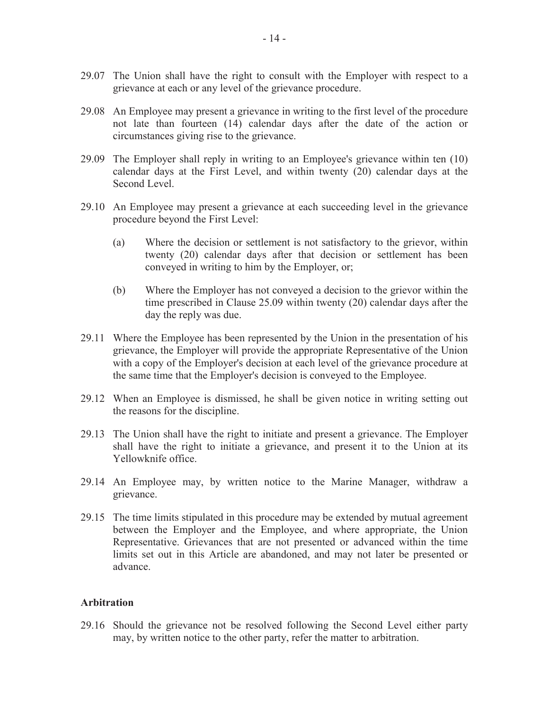- 29.07 The Union shall have the right to consult with the Employer with respect to a grievance at each or any level of the grievance procedure.
- 29.08 An Employee may present a grievance in writing to the first level of the procedure not late than fourteen (14) calendar days after the date of the action or circumstances giving rise to the grievance.
- 29.09 The Employer shall reply in writing to an Employee's grievance within ten (10) calendar days at the First Level, and within twenty (20) calendar days at the Second Level.
- 29.10 An Employee may present a grievance at each succeeding level in the grievance procedure beyond the First Level:
	- (a) Where the decision or settlement is not satisfactory to the grievor, within twenty (20) calendar days after that decision or settlement has been conveyed in writing to him by the Employer, or;
	- (b) Where the Employer has not conveyed a decision to the grievor within the time prescribed in Clause 25.09 within twenty (20) calendar days after the day the reply was due.
- 29.11 Where the Employee has been represented by the Union in the presentation of his grievance, the Employer will provide the appropriate Representative of the Union with a copy of the Employer's decision at each level of the grievance procedure at the same time that the Employer's decision is conveyed to the Employee.
- 29.12 When an Employee is dismissed, he shall be given notice in writing setting out the reasons for the discipline.
- 29.13 The Union shall have the right to initiate and present a grievance. The Employer shall have the right to initiate a grievance, and present it to the Union at its Yellowknife office.
- 29.14 An Employee may, by written notice to the Marine Manager, withdraw a grievance.
- 29.15 The time limits stipulated in this procedure may be extended by mutual agreement between the Employer and the Employee, and where appropriate, the Union Representative. Grievances that are not presented or advanced within the time limits set out in this Article are abandoned, and may not later be presented or advance.

#### **Arbitration**

29.16 Should the grievance not be resolved following the Second Level either party may, by written notice to the other party, refer the matter to arbitration.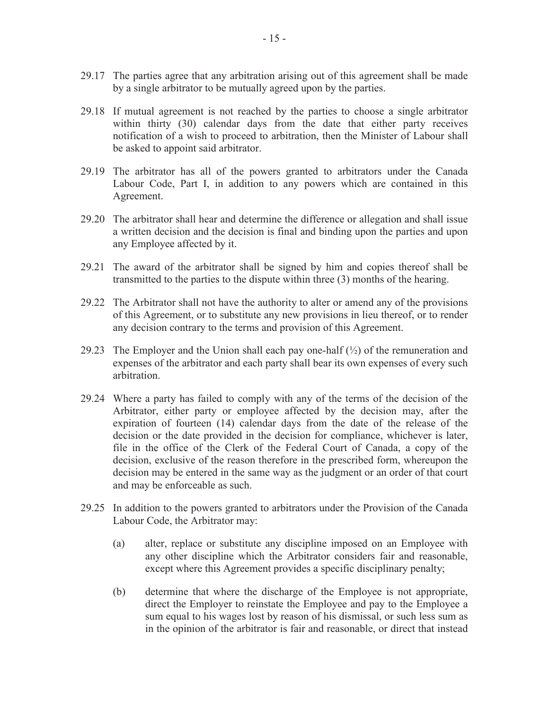- 29.17 The parties agree that any arbitration arising out of this agreement shall be made by a single arbitrator to be mutually agreed upon by the parties.
- 29.18 If mutual agreement is not reached by the parties to choose a single arbitrator within thirty (30) calendar days from the date that either party receives notification of a wish to proceed to arbitration, then the Minister of Labour shall be asked to appoint said arbitrator.
- 29.19 The arbitrator has all of the powers granted to arbitrators under the Canada Labour Code, Part I, in addition to any powers which are contained in this Agreement.
- 29.20 The arbitrator shall hear and determine the difference or allegation and shall issue a written decision and the decision is final and binding upon the parties and upon any Employee affected by it.
- 29.21 The award of the arbitrator shall be signed by him and copies thereof shall be transmitted to the parties to the dispute within three (3) months of the hearing.
- 29.22 The Arbitrator shall not have the authority to alter or amend any of the provisions of this Agreement, or to substitute any new provisions in lieu thereof, or to render any decision contrary to the terms and provision of this Agreement.
- 29.23 The Employer and the Union shall each pay one-half  $(\frac{1}{2})$  of the remuneration and expenses of the arbitrator and each party shall bear its own expenses of every such arbitration.
- 29.24 Where a party has failed to comply with any of the terms of the decision of the Arbitrator, either party or employee affected by the decision may, after the expiration of fourteen (14) calendar days from the date of the release of the decision or the date provided in the decision for compliance, whichever is later, file in the office of the Clerk of the Federal Court of Canada, a copy of the decision, exclusive of the reason therefore in the prescribed form, whereupon the decision may be entered in the same way as the judgment or an order of that court and may be enforceable as such.
- 29.25 In addition to the powers granted to arbitrators under the Provision of the Canada Labour Code, the Arbitrator may:
	- (a) alter, replace or substitute any discipline imposed on an Employee with any other discipline which the Arbitrator considers fair and reasonable, except where this Agreement provides a specific disciplinary penalty;
	- (b) determine that where the discharge of the Employee is not appropriate, direct the Employer to reinstate the Employee and pay to the Employee a sum equal to his wages lost by reason of his dismissal, or such less sum as in the opinion of the arbitrator is fair and reasonable, or direct that instead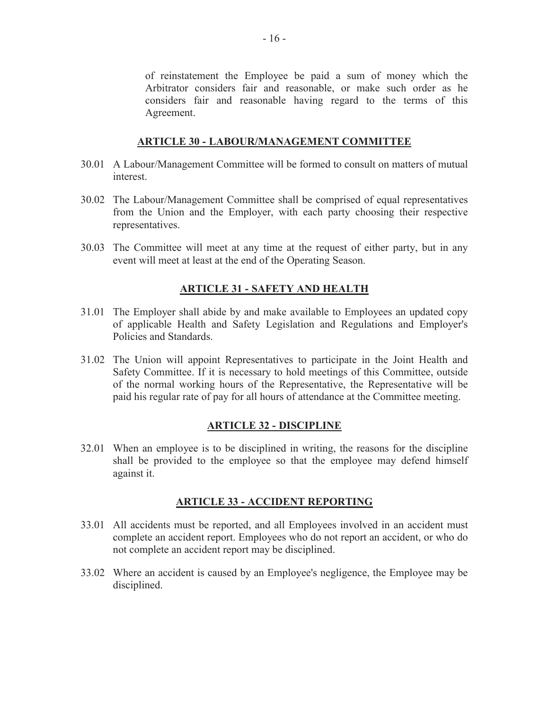of reinstatement the Employee be paid a sum of money which the Arbitrator considers fair and reasonable, or make such order as he considers fair and reasonable having regard to the terms of this Agreement.

### **ARTICLE 30 - LABOUR/MANAGEMENT COMMITTEE**

- 30.01 A Labour/Management Committee will be formed to consult on matters of mutual interest.
- 30.02 The Labour/Management Committee shall be comprised of equal representatives from the Union and the Employer, with each party choosing their respective representatives.
- 30.03 The Committee will meet at any time at the request of either party, but in any event will meet at least at the end of the Operating Season.

# <span id="page-18-1"></span><span id="page-18-0"></span>**ARTICLE 31 - SAFETY AND HEALTH**

- 31.01 The Employer shall abide by and make available to Employees an updated copy of applicable Health and Safety Legislation and Regulations and Employer's Policies and Standards.
- 31.02 The Union will appoint Representatives to participate in the Joint Health and Safety Committee. If it is necessary to hold meetings of this Committee, outside of the normal working hours of the Representative, the Representative will be paid his regular rate of pay for all hours of attendance at the Committee meeting.

# <span id="page-18-3"></span><span id="page-18-2"></span>**ARTICLE 32 - DISCIPLINE**

32.01 When an employee is to be disciplined in writing, the reasons for the discipline shall be provided to the employee so that the employee may defend himself against it.

#### **ARTICLE 33 - ACCIDENT REPORTING**

- 33.01 All accidents must be reported, and all Employees involved in an accident must complete an accident report. Employees who do not report an accident, or who do not complete an accident report may be disciplined.
- 33.02 Where an accident is caused by an Employee's negligence, the Employee may be disciplined.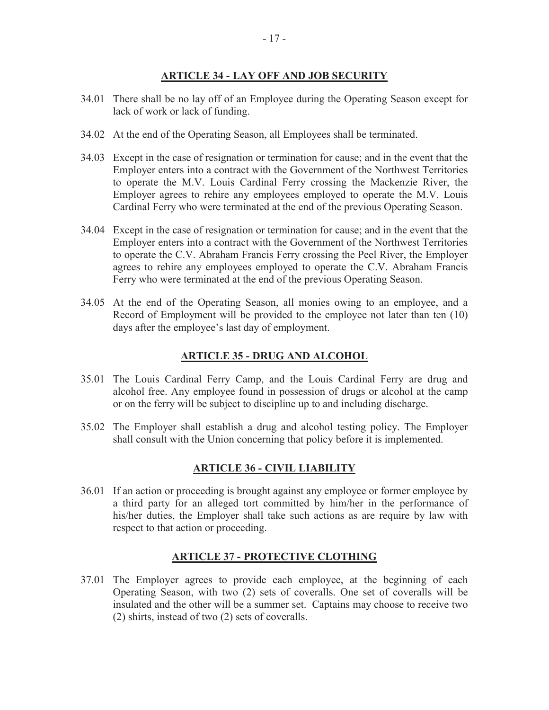# <span id="page-19-0"></span>**ARTICLE 34 - LAY OFF AND JOB SECURITY**

- 34.01 There shall be no lay off of an Employee during the Operating Season except for lack of work or lack of funding.
- 34.02 At the end of the Operating Season, all Employees shall be terminated.
- 34.03 Except in the case of resignation or termination for cause; and in the event that the Employer enters into a contract with the Government of the Northwest Territories to operate the M.V. Louis Cardinal Ferry crossing the Mackenzie River, the Employer agrees to rehire any employees employed to operate the M.V. Louis Cardinal Ferry who were terminated at the end of the previous Operating Season.
- 34.04 Except in the case of resignation or termination for cause; and in the event that the Employer enters into a contract with the Government of the Northwest Territories to operate the C.V. Abraham Francis Ferry crossing the Peel River, the Employer agrees to rehire any employees employed to operate the C.V. Abraham Francis Ferry who were terminated at the end of the previous Operating Season.
- 34.05 At the end of the Operating Season, all monies owing to an employee, and a Record of Employment will be provided to the employee not later than ten (10) days after the employee's last day of employment.

### <span id="page-19-1"></span>**ARTICLE 35 - DRUG AND ALCOHOL**

- 35.01 The Louis Cardinal Ferry Camp, and the Louis Cardinal Ferry are drug and alcohol free. Any employee found in possession of drugs or alcohol at the camp or on the ferry will be subject to discipline up to and including discharge.
- 35.02 The Employer shall establish a drug and alcohol testing policy. The Employer shall consult with the Union concerning that policy before it is implemented.

#### <span id="page-19-3"></span><span id="page-19-2"></span>**ARTICLE 36 - CIVIL LIABILITY**

36.01 If an action or proceeding is brought against any employee or former employee by a third party for an alleged tort committed by him/her in the performance of his/her duties, the Employer shall take such actions as are require by law with respect to that action or proceeding.

# **ARTICLE 37 - PROTECTIVE CLOTHING**

37.01 The Employer agrees to provide each employee, at the beginning of each Operating Season, with two (2) sets of coveralls. One set of coveralls will be insulated and the other will be a summer set. Captains may choose to receive two (2) shirts, instead of two (2) sets of coveralls.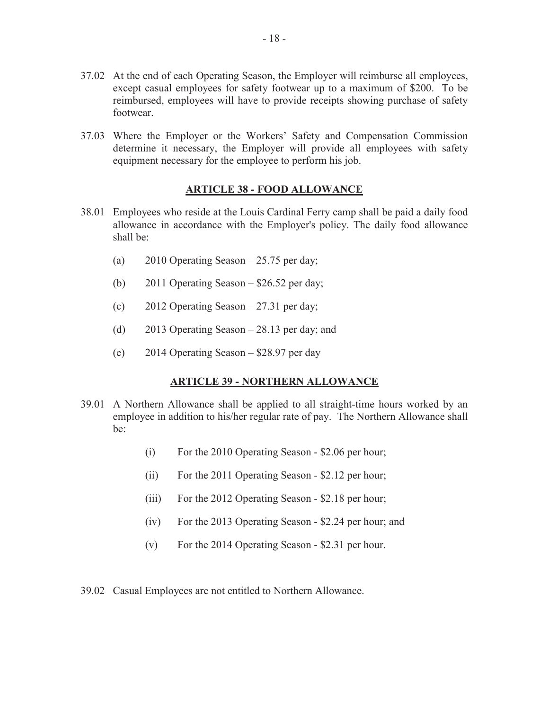- 37.02 At the end of each Operating Season, the Employer will reimburse all employees, except casual employees for safety footwear up to a maximum of \$200. To be reimbursed, employees will have to provide receipts showing purchase of safety footwear.
- 37.03 Where the Employer or the Workers' Safety and Compensation Commission determine it necessary, the Employer will provide all employees with safety equipment necessary for the employee to perform his job.

#### <span id="page-20-0"></span>**ARTICLE 38 - FOOD ALLOWANCE**

- 38.01 Employees who reside at the Louis Cardinal Ferry camp shall be paid a daily food allowance in accordance with the Employer's policy. The daily food allowance shall be:
	- (a) 2010 Operating Season 25.75 per day;
	- (b) 2011 Operating Season \$26.52 per day;
	- (c) 2012 Operating Season 27.31 per day;
	- (d) 2013 Operating Season 28.13 per day; and
	- (e) 2014 Operating Season \$28.97 per day

# <span id="page-20-1"></span>**ARTICLE 39 - NORTHERN ALLOWANCE**

- 39.01 A Northern Allowance shall be applied to all straight-time hours worked by an employee in addition to his/her regular rate of pay. The Northern Allowance shall be:
	- (i) For the 2010 Operating Season \$2.06 per hour;
	- (ii) For the 2011 Operating Season \$2.12 per hour;
	- (iii) For the 2012 Operating Season \$2.18 per hour;
	- (iv) For the 2013 Operating Season \$2.24 per hour; and
	- (v) For the 2014 Operating Season \$2.31 per hour.
- 39.02 Casual Employees are not entitled to Northern Allowance.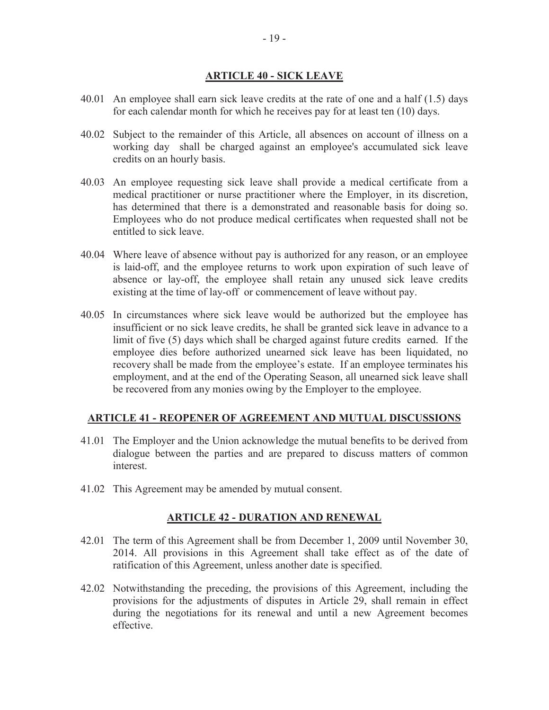# <span id="page-21-0"></span>**ARTICLE 40 - SICK LEAVE**

- 40.01 An employee shall earn sick leave credits at the rate of one and a half (1.5) days for each calendar month for which he receives pay for at least ten (10) days.
- 40.02 Subject to the remainder of this Article, all absences on account of illness on a working day shall be charged against an employee's accumulated sick leave credits on an hourly basis.
- 40.03 An employee requesting sick leave shall provide a medical certificate from a medical practitioner or nurse practitioner where the Employer, in its discretion, has determined that there is a demonstrated and reasonable basis for doing so. Employees who do not produce medical certificates when requested shall not be entitled to sick leave.
- 40.04 Where leave of absence without pay is authorized for any reason, or an employee is laid-off, and the employee returns to work upon expiration of such leave of absence or lay-off, the employee shall retain any unused sick leave credits existing at the time of lay-off or commencement of leave without pay.
- 40.05 In circumstances where sick leave would be authorized but the employee has insufficient or no sick leave credits, he shall be granted sick leave in advance to a limit of five (5) days which shall be charged against future credits earned. If the employee dies before authorized unearned sick leave has been liquidated, no recovery shall be made from the employee's estate. If an employee terminates his employment, and at the end of the Operating Season, all unearned sick leave shall be recovered from any monies owing by the Employer to the employee.

# **ARTICLE 41 - REOPENER OF AGREEMENT AND MUTUAL DISCUSSIONS**

- 41.01 The Employer and the Union acknowledge the mutual benefits to be derived from dialogue between the parties and are prepared to discuss matters of common interest.
- 41.02 This Agreement may be amended by mutual consent.

#### <span id="page-21-2"></span><span id="page-21-1"></span>**ARTICLE 42 - DURATION AND RENEWAL**

- 42.01 The term of this Agreement shall be from December 1, 2009 until November 30, 2014. All provisions in this Agreement shall take effect as of the date of ratification of this Agreement, unless another date is specified.
- 42.02 Notwithstanding the preceding, the provisions of this Agreement, including the provisions for the adjustments of disputes in Article 29, shall remain in effect during the negotiations for its renewal and until a new Agreement becomes effective.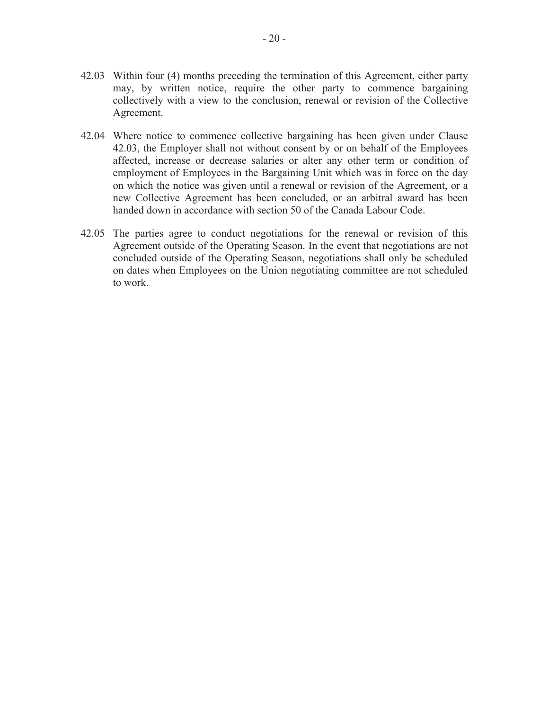- 42.03 Within four (4) months preceding the termination of this Agreement, either party may, by written notice, require the other party to commence bargaining collectively with a view to the conclusion, renewal or revision of the Collective Agreement.
- 42.04 Where notice to commence collective bargaining has been given under Clause 42.03, the Employer shall not without consent by or on behalf of the Employees affected, increase or decrease salaries or alter any other term or condition of employment of Employees in the Bargaining Unit which was in force on the day on which the notice was given until a renewal or revision of the Agreement, or a new Collective Agreement has been concluded, or an arbitral award has been handed down in accordance with section 50 of the Canada Labour Code.
- 42.05 The parties agree to conduct negotiations for the renewal or revision of this Agreement outside of the Operating Season. In the event that negotiations are not concluded outside of the Operating Season, negotiations shall only be scheduled on dates when Employees on the Union negotiating committee are not scheduled to work.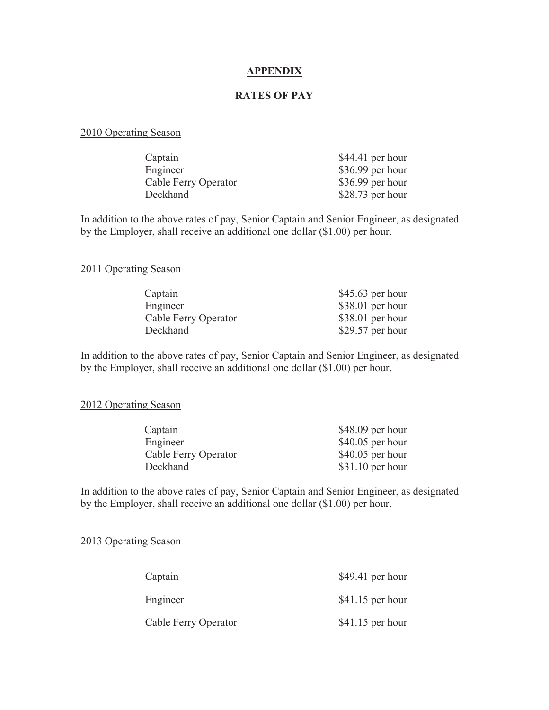#### **APPENDIX**

#### **RATES OF PAY**

#### 2010 Operating Season

| Captain              | $$44.41$ per hour |
|----------------------|-------------------|
| Engineer             | $$36.99$ per hour |
| Cable Ferry Operator | $$36.99$ per hour |
| Deckhand             | $$28.73$ per hour |

In addition to the above rates of pay, Senior Captain and Senior Engineer, as designated by the Employer, shall receive an additional one dollar (\$1.00) per hour.

#### 2011 Operating Season

| $$45.63$ per hour |
|-------------------|
| $$38.01$ per hour |
| $$38.01$ per hour |
| \$29.57 per hour  |
|                   |

In addition to the above rates of pay, Senior Captain and Senior Engineer, as designated by the Employer, shall receive an additional one dollar (\$1.00) per hour.

#### 2012 Operating Season

| Captain              | $$48.09$ per hour |
|----------------------|-------------------|
| Engineer             | $$40.05$ per hour |
| Cable Ferry Operator | $$40.05$ per hour |
| Deckhand             | $$31.10$ per hour |

In addition to the above rates of pay, Senior Captain and Senior Engineer, as designated by the Employer, shall receive an additional one dollar (\$1.00) per hour.

#### 2013 Operating Season

| Captain              | $$49.41$ per hour |  |
|----------------------|-------------------|--|
| Engineer             | $$41.15$ per hour |  |
| Cable Ferry Operator | $$41.15$ per hour |  |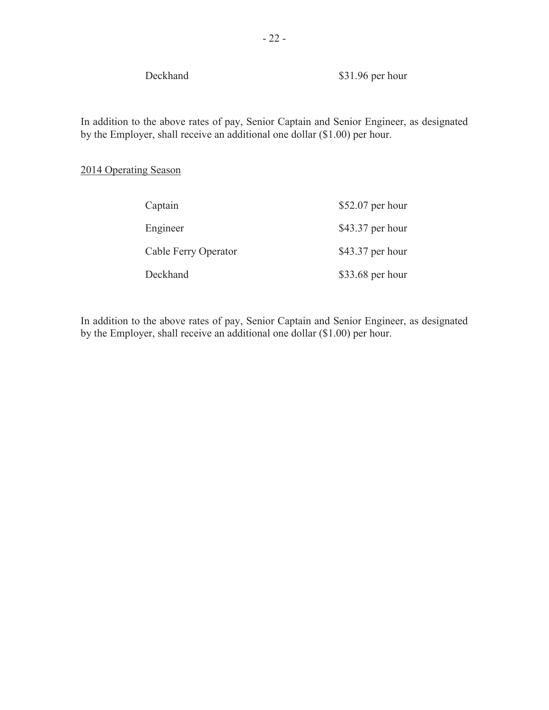Deckhand \$31.96 per hour

In addition to the above rates of pay, Senior Captain and Senior Engineer, as designated by the Employer, shall receive an additional one dollar (\$1.00) per hour.

# 2014 Operating Season

| Captain              | $$52.07$ per hour |
|----------------------|-------------------|
| Engineer             | $$43.37$ per hour |
| Cable Ferry Operator | $$43.37$ per hour |
| Deckhand             | $$33.68$ per hour |

In addition to the above rates of pay, Senior Captain and Senior Engineer, as designated by the Employer, shall receive an additional one dollar (\$1.00) per hour.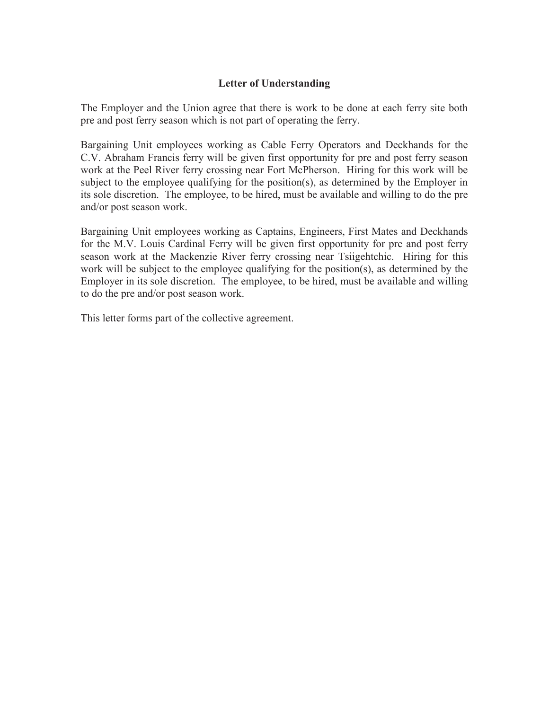# **Letter of Understanding**

The Employer and the Union agree that there is work to be done at each ferry site both pre and post ferry season which is not part of operating the ferry.

Bargaining Unit employees working as Cable Ferry Operators and Deckhands for the C.V. Abraham Francis ferry will be given first opportunity for pre and post ferry season work at the Peel River ferry crossing near Fort McPherson. Hiring for this work will be subject to the employee qualifying for the position(s), as determined by the Employer in its sole discretion. The employee, to be hired, must be available and willing to do the pre and/or post season work.

Bargaining Unit employees working as Captains, Engineers, First Mates and Deckhands for the M.V. Louis Cardinal Ferry will be given first opportunity for pre and post ferry season work at the Mackenzie River ferry crossing near Tsiigehtchic. Hiring for this work will be subject to the employee qualifying for the position(s), as determined by the Employer in its sole discretion. The employee, to be hired, must be available and willing to do the pre and/or post season work.

This letter forms part of the collective agreement.